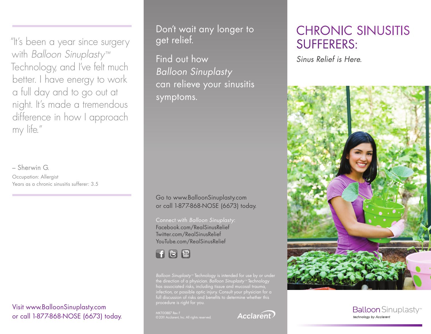"It's been a year since surgery with *Balloon Sinuplasty™* Technology, and I've felt much better. I have energy to work a full day and to go out at night. It's made a tremendous difference in how I approach my life."

– Sherwin G. Occupation: Allergist Years as a chronic sinusitis sufferer: 3.5

Visit www.BalloonSinuplasty.com or call 1-877-868-NOSE (6673) today.

Don't wait any longer to get relief.

Find out how *Balloon Sinuplasty*  can relieve your sinusitis symptoms.

Go to www.BalloonSinuplasty.com or call 1-877-868-NOSE (6673) today.

Connect with *Balloon Sinuplasty*: Facebook.com/RealSinusRelief Twitter.com/RealSinusRelief YouTube.com/RealSinusRelief



*Balloon Sinuplasty™* Technology is intended for use by or under the direction of a physician. *Balloon Sinuplasty™* Technology has associated risks, including tissue and mucosal trauma, full discussion of risks and benefits to determine whether this procedure is right for you.

MKT00887 Rev. F



# CHRONIC SINUSITIS SUFFERERS:

*Sinus Relief is Here.*